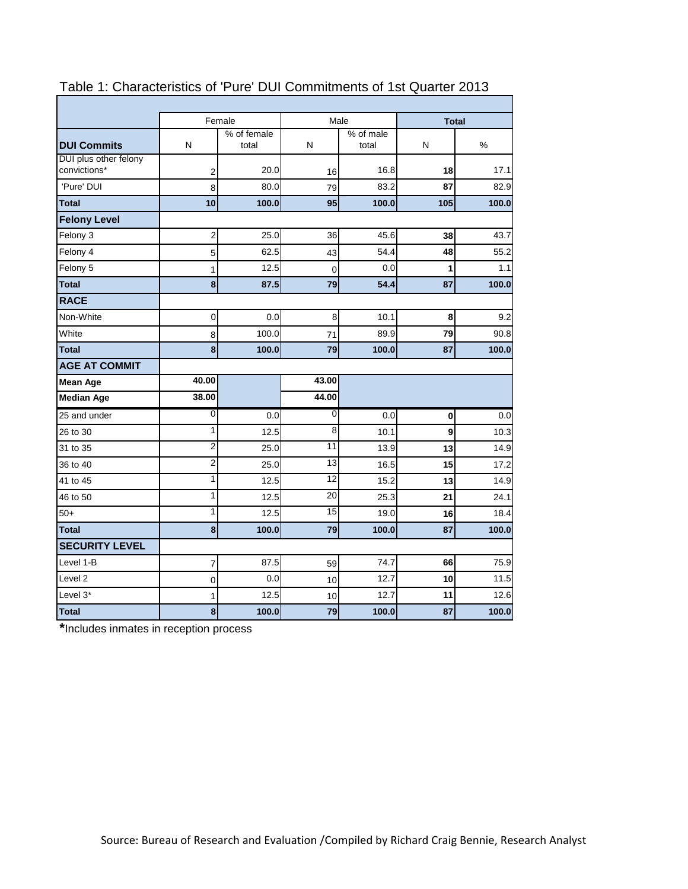| Female<br>Male<br><b>Total</b><br>% of female<br>% of male<br>N<br>N<br>%<br>total<br>total<br>N<br>convictions*<br>20.0<br>16.8<br>18<br>17.1<br>2<br>16<br>'Pure' DUI<br>80.0<br>83.2<br>87<br>82.9<br>8<br>79<br>95<br>10<br>100.0<br>100.0<br>105<br>100.0<br><b>Total</b><br><b>Felony Level</b><br>$\overline{\mathbf{c}}$<br>45.6<br>Felony 3<br>25.0<br>36<br>43.7<br>38<br>Felony 4<br>62.5<br>54.4<br>48<br>55.2<br>5<br>43<br>1<br>12.5<br>0.0<br>1<br>$\mathbf 0$<br>8<br>87.5<br>79<br>54.4<br>87<br>$\boldsymbol{0}$<br>8<br>8<br>0.0<br>10.1<br>100.0<br>89.9<br>79<br>8<br>71<br>8<br>100.0<br>79<br>100.0<br>87<br>40.00<br>43.00<br>44.00<br>38.00<br>0<br>0<br>0.0<br>0.0<br>$\bf{0}$<br>1<br>8<br>9<br>12.5<br>10.1<br>$\overline{\mathbf{c}}$<br>11<br>13<br>25.0<br>13.9<br>$\overline{c}$<br>13<br>16.5<br>25.0<br>15<br>1<br>12<br>15.2<br>12.5<br>13<br>20<br>1<br>12.5<br>25.3<br>21<br>1<br>15<br>12.5<br>19.0<br>16<br>$\boldsymbol{8}$<br>100.0<br>79<br>100.0<br>87<br>87.5<br>74.7<br>66<br>$\overline{7}$<br>59<br>0.0<br>12.7<br>10<br>0<br>10<br>12.7<br>12.5<br>11<br>1<br>10<br>8<br>79<br>87<br>100.0<br>100.0 |                       |  |  |       |
|-----------------------------------------------------------------------------------------------------------------------------------------------------------------------------------------------------------------------------------------------------------------------------------------------------------------------------------------------------------------------------------------------------------------------------------------------------------------------------------------------------------------------------------------------------------------------------------------------------------------------------------------------------------------------------------------------------------------------------------------------------------------------------------------------------------------------------------------------------------------------------------------------------------------------------------------------------------------------------------------------------------------------------------------------------------------------------------------------------------------------------------------------------|-----------------------|--|--|-------|
|                                                                                                                                                                                                                                                                                                                                                                                                                                                                                                                                                                                                                                                                                                                                                                                                                                                                                                                                                                                                                                                                                                                                                     |                       |  |  |       |
|                                                                                                                                                                                                                                                                                                                                                                                                                                                                                                                                                                                                                                                                                                                                                                                                                                                                                                                                                                                                                                                                                                                                                     | <b>DUI Commits</b>    |  |  |       |
|                                                                                                                                                                                                                                                                                                                                                                                                                                                                                                                                                                                                                                                                                                                                                                                                                                                                                                                                                                                                                                                                                                                                                     | DUI plus other felony |  |  |       |
|                                                                                                                                                                                                                                                                                                                                                                                                                                                                                                                                                                                                                                                                                                                                                                                                                                                                                                                                                                                                                                                                                                                                                     |                       |  |  |       |
|                                                                                                                                                                                                                                                                                                                                                                                                                                                                                                                                                                                                                                                                                                                                                                                                                                                                                                                                                                                                                                                                                                                                                     |                       |  |  |       |
|                                                                                                                                                                                                                                                                                                                                                                                                                                                                                                                                                                                                                                                                                                                                                                                                                                                                                                                                                                                                                                                                                                                                                     |                       |  |  |       |
|                                                                                                                                                                                                                                                                                                                                                                                                                                                                                                                                                                                                                                                                                                                                                                                                                                                                                                                                                                                                                                                                                                                                                     |                       |  |  |       |
|                                                                                                                                                                                                                                                                                                                                                                                                                                                                                                                                                                                                                                                                                                                                                                                                                                                                                                                                                                                                                                                                                                                                                     |                       |  |  |       |
|                                                                                                                                                                                                                                                                                                                                                                                                                                                                                                                                                                                                                                                                                                                                                                                                                                                                                                                                                                                                                                                                                                                                                     |                       |  |  |       |
|                                                                                                                                                                                                                                                                                                                                                                                                                                                                                                                                                                                                                                                                                                                                                                                                                                                                                                                                                                                                                                                                                                                                                     | Felony 5              |  |  | 1.1   |
|                                                                                                                                                                                                                                                                                                                                                                                                                                                                                                                                                                                                                                                                                                                                                                                                                                                                                                                                                                                                                                                                                                                                                     | <b>Total</b>          |  |  | 100.0 |
|                                                                                                                                                                                                                                                                                                                                                                                                                                                                                                                                                                                                                                                                                                                                                                                                                                                                                                                                                                                                                                                                                                                                                     | <b>RACE</b>           |  |  |       |
|                                                                                                                                                                                                                                                                                                                                                                                                                                                                                                                                                                                                                                                                                                                                                                                                                                                                                                                                                                                                                                                                                                                                                     | Non-White             |  |  | 9.2   |
|                                                                                                                                                                                                                                                                                                                                                                                                                                                                                                                                                                                                                                                                                                                                                                                                                                                                                                                                                                                                                                                                                                                                                     | White                 |  |  | 90.8  |
|                                                                                                                                                                                                                                                                                                                                                                                                                                                                                                                                                                                                                                                                                                                                                                                                                                                                                                                                                                                                                                                                                                                                                     | <b>Total</b>          |  |  | 100.0 |
|                                                                                                                                                                                                                                                                                                                                                                                                                                                                                                                                                                                                                                                                                                                                                                                                                                                                                                                                                                                                                                                                                                                                                     | <b>AGE AT COMMIT</b>  |  |  |       |
|                                                                                                                                                                                                                                                                                                                                                                                                                                                                                                                                                                                                                                                                                                                                                                                                                                                                                                                                                                                                                                                                                                                                                     | <b>Mean Age</b>       |  |  |       |
|                                                                                                                                                                                                                                                                                                                                                                                                                                                                                                                                                                                                                                                                                                                                                                                                                                                                                                                                                                                                                                                                                                                                                     | <b>Median Age</b>     |  |  |       |
|                                                                                                                                                                                                                                                                                                                                                                                                                                                                                                                                                                                                                                                                                                                                                                                                                                                                                                                                                                                                                                                                                                                                                     | 25 and under          |  |  | 0.0   |
|                                                                                                                                                                                                                                                                                                                                                                                                                                                                                                                                                                                                                                                                                                                                                                                                                                                                                                                                                                                                                                                                                                                                                     | 26 to 30              |  |  | 10.3  |
|                                                                                                                                                                                                                                                                                                                                                                                                                                                                                                                                                                                                                                                                                                                                                                                                                                                                                                                                                                                                                                                                                                                                                     | 31 to 35              |  |  | 14.9  |
|                                                                                                                                                                                                                                                                                                                                                                                                                                                                                                                                                                                                                                                                                                                                                                                                                                                                                                                                                                                                                                                                                                                                                     | 36 to 40              |  |  | 17.2  |
|                                                                                                                                                                                                                                                                                                                                                                                                                                                                                                                                                                                                                                                                                                                                                                                                                                                                                                                                                                                                                                                                                                                                                     | 41 to 45              |  |  | 14.9  |
|                                                                                                                                                                                                                                                                                                                                                                                                                                                                                                                                                                                                                                                                                                                                                                                                                                                                                                                                                                                                                                                                                                                                                     | 46 to 50              |  |  | 24.1  |
|                                                                                                                                                                                                                                                                                                                                                                                                                                                                                                                                                                                                                                                                                                                                                                                                                                                                                                                                                                                                                                                                                                                                                     | $50+$                 |  |  | 18.4  |
|                                                                                                                                                                                                                                                                                                                                                                                                                                                                                                                                                                                                                                                                                                                                                                                                                                                                                                                                                                                                                                                                                                                                                     | <b>Total</b>          |  |  | 100.0 |
|                                                                                                                                                                                                                                                                                                                                                                                                                                                                                                                                                                                                                                                                                                                                                                                                                                                                                                                                                                                                                                                                                                                                                     | <b>SECURITY LEVEL</b> |  |  |       |
|                                                                                                                                                                                                                                                                                                                                                                                                                                                                                                                                                                                                                                                                                                                                                                                                                                                                                                                                                                                                                                                                                                                                                     | Level 1-B             |  |  | 75.9  |
|                                                                                                                                                                                                                                                                                                                                                                                                                                                                                                                                                                                                                                                                                                                                                                                                                                                                                                                                                                                                                                                                                                                                                     | Level <sub>2</sub>    |  |  | 11.5  |
|                                                                                                                                                                                                                                                                                                                                                                                                                                                                                                                                                                                                                                                                                                                                                                                                                                                                                                                                                                                                                                                                                                                                                     | Level 3*              |  |  | 12.6  |
|                                                                                                                                                                                                                                                                                                                                                                                                                                                                                                                                                                                                                                                                                                                                                                                                                                                                                                                                                                                                                                                                                                                                                     | <b>Total</b>          |  |  | 100.0 |

# Table 1: Characteristics of 'Pure' DUI Commitments of 1st Quarter 2013

**\***Includes inmates in reception process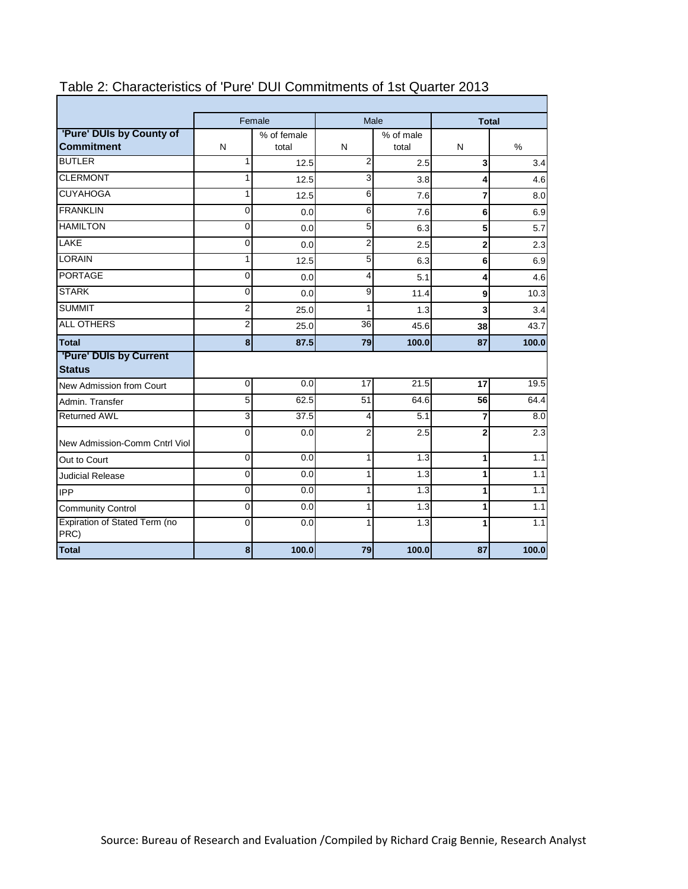|                                               |                | Female               |                | Male               |                         | <b>Total</b> |  |  |
|-----------------------------------------------|----------------|----------------------|----------------|--------------------|-------------------------|--------------|--|--|
| 'Pure' DUIs by County of<br><b>Commitment</b> | N              | % of female<br>total | N              | % of male<br>total | N                       | $\%$         |  |  |
| <b>BUTLER</b>                                 | 1              | 12.5                 | 2              | 2.5                | $\overline{\mathbf{3}}$ | 3.4          |  |  |
| <b>CLERMONT</b>                               | 1              | 12.5                 | 3              | 3.8                | 4                       | 4.6          |  |  |
| <b>CUYAHOGA</b>                               | 1              | 12.5                 | 6              | 7.6                | $\mathbf{z}$            | 8.0          |  |  |
| <b>FRANKLIN</b>                               | 0              | 0.0                  | $\,6$          | 7.6                | $6 \mid$                | 6.9          |  |  |
| <b>HAMILTON</b>                               | 0              | 0.0                  | $\mathbf 5$    | 6.3                | 5 <sup>1</sup>          | 5.7          |  |  |
| LAKE                                          | 0              | 0.0                  | $\overline{2}$ | 2.5                | $\mathbf{2}$            | 2.3          |  |  |
| <b>LORAIN</b>                                 | 1              | 12.5                 | 5              | 6.3                | $6 \mid$                | 6.9          |  |  |
| <b>PORTAGE</b>                                | 0              | 0.0                  | 4              | 5.1                | 4                       | 4.6          |  |  |
| <b>STARK</b>                                  | 0              | 0.0                  | 9              | 11.4               | 9                       | 10.3         |  |  |
| <b>SUMMIT</b>                                 | $\overline{2}$ | 25.0                 | 1              | 1.3                | $\overline{\mathbf{3}}$ | 3.4          |  |  |
| <b>ALL OTHERS</b>                             | $\overline{c}$ | 25.0                 | 36             | 45.6               | 38                      | 43.7         |  |  |
| <b>Total</b>                                  | 8              | 87.5                 | 79             | 100.0              | 87                      | 100.0        |  |  |
| 'Pure' DUIs by Current<br><b>Status</b>       |                |                      |                |                    |                         |              |  |  |
| New Admission from Court                      | $\mathbf 0$    | 0.0                  | 17             | 21.5               | 17                      | 19.5         |  |  |
| Admin, Transfer                               | 5              | 62.5                 | 51             | 64.6               | 56                      | 64.4         |  |  |
| <b>Returned AWL</b>                           | 3              | 37.5                 | 4              | 5.1                | 7                       | 8.0          |  |  |
| New Admission-Comm Cntrl Viol                 | $\mathbf{0}$   | 0.0                  | $\overline{2}$ | 2.5                | $\mathbf{2}$            | 2.3          |  |  |
| Out to Court                                  | 0              | 0.0                  | 1              | 1.3                | $\mathbf{1}$            | 1.1          |  |  |
| <b>Judicial Release</b>                       | 0              | 0.0                  | $\mathbf{1}$   | 1.3                | $\mathbf{1}$            | 1.1          |  |  |
| <b>IPP</b>                                    | 0              | 0.0                  | 1              | 1.3                | 1                       | 1.1          |  |  |
| <b>Community Control</b>                      | 0              | 0.0                  | 1              | 1.3                | $\mathbf{1}$            | 1.1          |  |  |
| Expiration of Stated Term (no<br>PRC)         | $\overline{0}$ | 0.0                  | 1              | 1.3                | 1                       | 1.1          |  |  |
| <b>Total</b>                                  | 8              | 100.0                | 79             | 100.0              | 87                      | 100.0        |  |  |

## Table 2: Characteristics of 'Pure' DUI Commitments of 1st Quarter 2013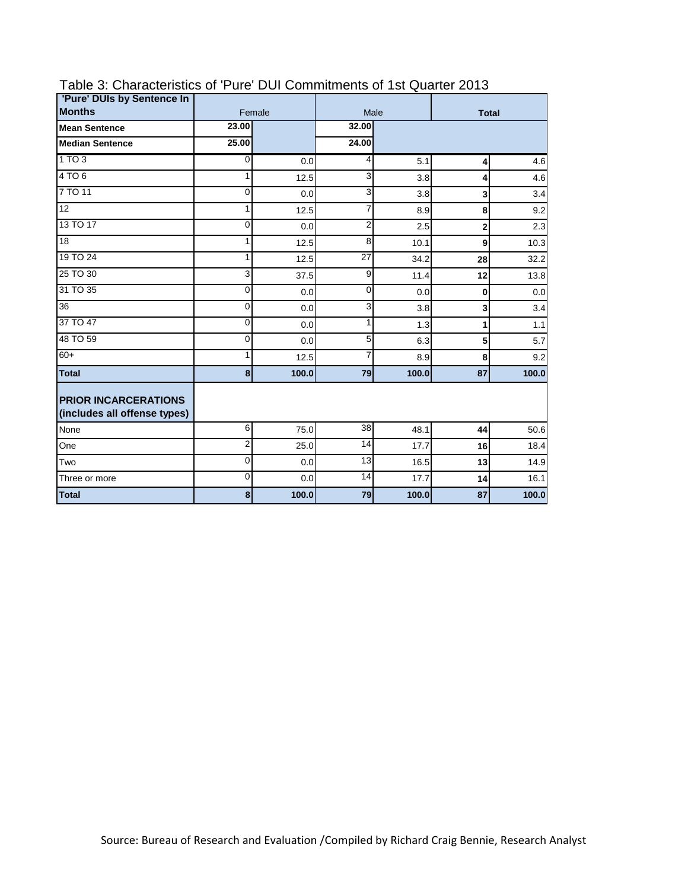| 'Pure' DUIs by Sentence In                                  |                |        | Male            |       |                         |       |  |
|-------------------------------------------------------------|----------------|--------|-----------------|-------|-------------------------|-------|--|
| <b>Months</b>                                               |                | Female |                 |       | <b>Total</b>            |       |  |
| <b>Mean Sentence</b>                                        | 23.00          |        | 32.00           |       |                         |       |  |
| <b>Median Sentence</b>                                      | 25.00          |        | 24.00           |       |                         |       |  |
| 1TO3                                                        | $\overline{0}$ | 0.0    | 4               | 5.1   | 4                       | 4.6   |  |
| 4 TO 6                                                      | 1              | 12.5   | 3               | 3.8   | 4                       | 4.6   |  |
| 7 TO 11                                                     | 0              | 0.0    | 3               | 3.8   | $\overline{\mathbf{3}}$ | 3.4   |  |
| 12                                                          | 1              | 12.5   | $\overline{7}$  | 8.9   | 8                       | 9.2   |  |
| 13 TO 17                                                    | 0              | 0.0    | $\overline{2}$  | 2.5   | $\mathbf{z}$            | 2.3   |  |
| 18                                                          | 1              | 12.5   | 8               | 10.1  | $\mathbf{g}$            | 10.3  |  |
| 19 TO 24                                                    | 1              | 12.5   | $\overline{27}$ | 34.2  | 28                      | 32.2  |  |
| 25 TO 30                                                    | 3              | 37.5   | 9               | 11.4  | 12                      | 13.8  |  |
| 31 TO 35                                                    | $\mathbf{0}$   | 0.0    | $\mathbf 0$     | 0.0   | $\mathbf{0}$            | 0.0   |  |
| $\overline{36}$                                             | 0              | 0.0    | 3               | 3.8   | $\mathbf{3}$            | 3.4   |  |
| 37 TO 47                                                    | 0              | 0.0    | 1               | 1.3   | $\mathbf{1}$            | 1.1   |  |
| 48 TO 59                                                    | 0              | 0.0    | 5               | 6.3   | 5 <sup>1</sup>          | 5.7   |  |
| $60+$                                                       | 1              | 12.5   | 7               | 8.9   | 8                       | 9.2   |  |
| <b>Total</b>                                                | $\bf{8}$       | 100.0  | 79              | 100.0 | 87                      | 100.0 |  |
| <b>PRIOR INCARCERATIONS</b><br>(includes all offense types) |                |        |                 |       |                         |       |  |
| None                                                        | 6              | 75.0   | 38              | 48.1  | 44                      | 50.6  |  |
| One                                                         | $\overline{2}$ | 25.0   | 14              | 17.7  | 16 <sup>1</sup>         | 18.4  |  |
| Two                                                         | $\Omega$       | 0.0    | $\overline{13}$ | 16.5  | 13                      | 14.9  |  |
| Three or more                                               | $\overline{0}$ | 0.0    | 14              | 17.7  | 14                      | 16.1  |  |
| <b>Total</b>                                                | 8              | 100.0  | 79              | 100.0 | 87                      | 100.0 |  |

# Table 3: Characteristics of 'Pure' DUI Commitments of 1st Quarter 2013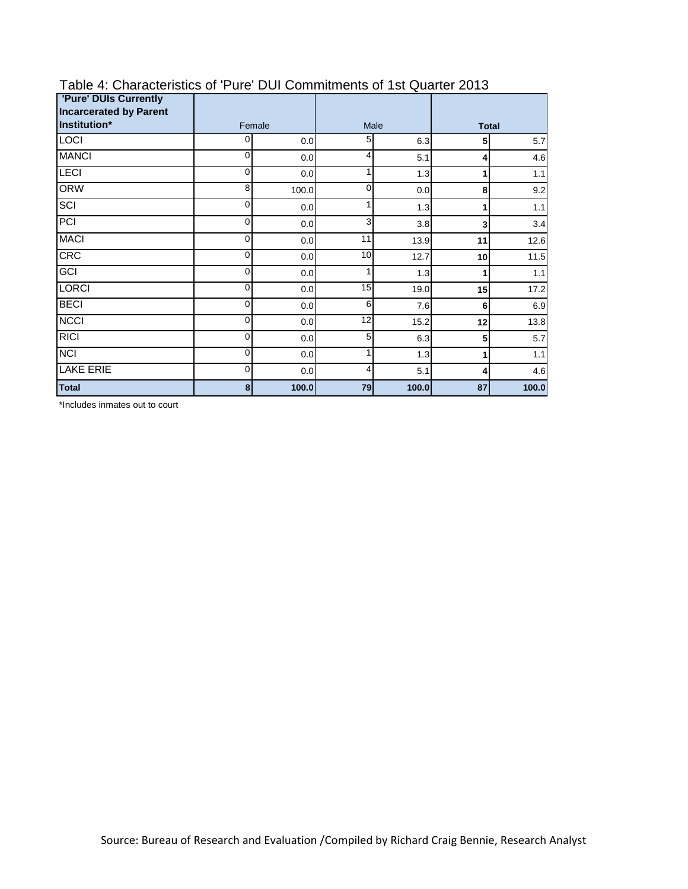| <b>'Pure' DUIs Currently</b><br><b>Incarcerated by Parent</b> |             |       |          |       |              |       |  |
|---------------------------------------------------------------|-------------|-------|----------|-------|--------------|-------|--|
| Institution*                                                  | Female      |       |          | Male  | <b>Total</b> |       |  |
| LOCI                                                          | 0           | 0.0   | 5        | 6.3   | 5            | 5.7   |  |
| <b>MANCI</b>                                                  | 0           | 0.0   | 4        | 5.1   | 4            | 4.6   |  |
| <b>LECI</b>                                                   | 0           | 0.0   |          | 1.3   |              | 1.1   |  |
| <b>ORW</b>                                                    | 8           | 100.0 | $\Omega$ | 0.0   | 8            | 9.2   |  |
| SCI                                                           | 0           | 0.0   |          | 1.3   |              | $1.1$ |  |
| PCI                                                           | 0           | 0.0   | 3        | 3.8   | 3            | 3.4   |  |
| <b>MACI</b>                                                   | 0           | 0.0   | 11       | 13.9  | 11           | 12.6  |  |
| <b>CRC</b>                                                    | 0           | 0.0   | 10       | 12.7  | 10           | 11.5  |  |
| GCI                                                           | 0           | 0.0   |          | 1.3   |              | 1.1   |  |
| <b>LORCI</b>                                                  | 0           | 0.0   | 15       | 19.0  | 15           | 17.2  |  |
| <b>BECI</b>                                                   | 0           | 0.0   | 6        | 7.6   | 6            | 6.9   |  |
| <b>NCCI</b>                                                   | 0           | 0.0   | 12       | 15.2  | 12           | 13.8  |  |
| <b>RICI</b>                                                   | 0           | 0.0   | 5        | 6.3   | 5            | 5.7   |  |
| $\overline{NCI}$                                              | 0           | 0.0   |          | 1.3   |              | 1.1   |  |
| <b>LAKE ERIE</b>                                              | $\mathbf 0$ | 0.0   | 4        | 5.1   | 4            | 4.6   |  |
| <b>Total</b>                                                  | 8           | 100.0 | 79       | 100.0 | 87           | 100.0 |  |

#### Table 4: Characteristics of 'Pure' DUI Commitments of 1st Quarter 2013

\*Includes inmates out to court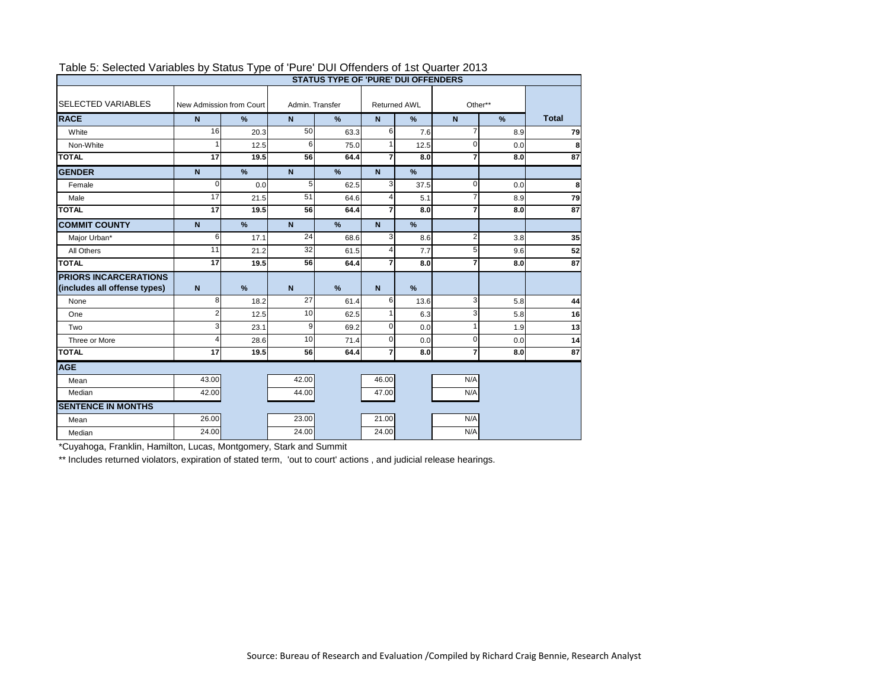| <b>STATUS TYPE OF 'PURE' DUI OFFENDERS</b>                   |                                             |                   |                |                     |                |               |                |      |                 |
|--------------------------------------------------------------|---------------------------------------------|-------------------|----------------|---------------------|----------------|---------------|----------------|------|-----------------|
| <b>SELECTED VARIABLES</b>                                    | Admin, Transfer<br>New Admission from Court |                   |                | <b>Returned AWL</b> |                | Other**       |                |      |                 |
| <b>RACE</b>                                                  | $\mathsf{N}$                                | $\%$              | $\overline{N}$ | $\%$                | $\overline{N}$ | $\%$          | $\overline{N}$ | $\%$ | <b>Total</b>    |
| White                                                        | 16                                          | 20.3              | 50             | 63.3                | 6              | 7.6           | $\overline{7}$ | 8.9  | 79              |
| Non-White                                                    |                                             | 12.5              | 6              | 75.0                |                | 12.5          | 0              | 0.0  | 8               |
| <b>TOTAL</b>                                                 | 17                                          | 19.5              | 56             | 64.4                | $\overline{7}$ | 8.0           | 7              | 8.0  | 87              |
| <b>GENDER</b>                                                | N                                           | $\frac{9}{6}$     | $\overline{N}$ | %                   | $\overline{N}$ | $\%$          |                |      |                 |
| Female                                                       | $\Omega$                                    | 0.0               | 5              | 62.5                | 3              | 37.5          | $\Omega$       | 0.0  | 8               |
| Male                                                         | 17                                          | 21.5              | 51             | 64.6                | 4              | 5.1           | 7              | 8.9  | 79              |
| <b>TOTAL</b>                                                 | 17                                          | 19.5              | 56             | 64.4                | 7              | 8.0           | $\overline{7}$ | 8.0  | $\overline{87}$ |
| <b>COMMIT COUNTY</b>                                         | N                                           | $\%$              | $\overline{N}$ | %                   | N              | $\%$          |                |      |                 |
| Major Urban*                                                 | 6                                           | 17.1              | 24             | 68.6                | 3              | 8.6           | $\overline{2}$ | 3.8  | 35              |
| All Others                                                   | 11                                          | 21.2              | 32             | 61.5                | 4              | 7.7           | 5 <sup>1</sup> | 9.6  | 52              |
| <b>TOTAL</b>                                                 | 17                                          | $\overline{19.5}$ | 56             | 64.4                | $\overline{7}$ | 8.0           | $\overline{7}$ | 8.0  | 87              |
| <b>PRIORS INCARCERATIONS</b><br>(includes all offense types) | $\overline{N}$                              | $\frac{9}{6}$     | $\mathbf N$    | $\frac{9}{6}$       | N              | $\frac{9}{6}$ |                |      |                 |
| None                                                         | 8                                           | 18.2              | 27             | 61.4                | 6              | 13.6          | 3              | 5.8  | 44              |
| One                                                          | 2                                           | 12.5              | 10             | 62.5                |                | 6.3           | $\overline{3}$ | 5.8  | 16              |
| Two                                                          | 3                                           | 23.1              | 9              | 69.2                | $\Omega$       | 0.0           | 1              | 1.9  | 13              |
| Three or More                                                | 4                                           | 28.6              | 10             | 71.4                | $\Omega$       | 0.0           | $\mathbf{0}$   | 0.0  | 14              |
| <b>TOTAL</b>                                                 | $\overline{17}$                             | 19.5              | 56             | 64.4                | $\overline{7}$ | 8.0           | $\overline{7}$ | 8.0  | 87              |
| <b>AGE</b>                                                   |                                             |                   |                |                     |                |               |                |      |                 |
| Mean                                                         | 43.00                                       |                   | 42.00          |                     | 46.00          |               | N/A            |      |                 |
| Median                                                       | 42.00                                       |                   | 44.00          |                     | 47.00          |               | N/A            |      |                 |
| <b>SENTENCE IN MONTHS</b>                                    |                                             |                   |                |                     |                |               |                |      |                 |
| Mean                                                         | 26.00                                       |                   | 23.00          |                     | 21.00          |               | N/A            |      |                 |
| Median                                                       | 24.00                                       |                   | 24.00          |                     | 24.00          |               | N/A            |      |                 |

## Table 5: Selected Variables by Status Type of 'Pure' DUI Offenders of 1st Quarter 2013

\*Cuyahoga, Franklin, Hamilton, Lucas, Montgomery, Stark and Summit

\*\* Includes returned violators, expiration of stated term, 'out to court' actions, and judicial release hearings.